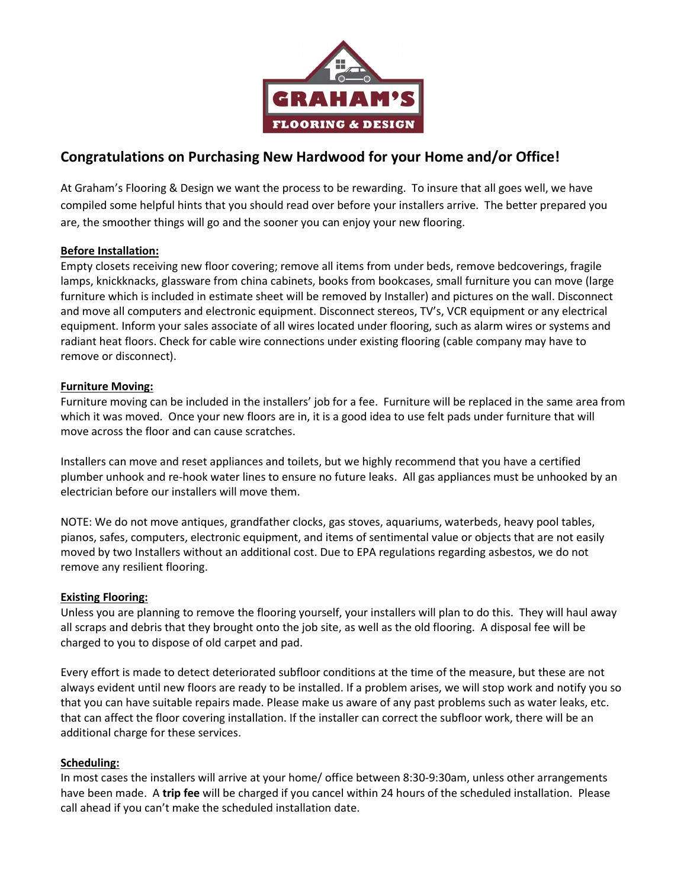

# Congratulations on Purchasing New Hardwood for your Home and/or Office!

At Graham's Flooring & Design we want the process to be rewarding. To insure that all goes well, we have compiled some helpful hints that you should read over before your installers arrive. The better prepared you are, the smoother things will go and the sooner you can enjoy your new flooring.

## Before Installation:

Empty closets receiving new floor covering; remove all items from under beds, remove bedcoverings, fragile lamps, knickknacks, glassware from china cabinets, books from bookcases, small furniture you can move (large furniture which is included in estimate sheet will be removed by Installer) and pictures on the wall. Disconnect and move all computers and electronic equipment. Disconnect stereos, TV's, VCR equipment or any electrical equipment. Inform your sales associate of all wires located under flooring, such as alarm wires or systems and radiant heat floors. Check for cable wire connections under existing flooring (cable company may have to remove or disconnect).

## Furniture Moving:

Furniture moving can be included in the installers' job for a fee. Furniture will be replaced in the same area from which it was moved. Once your new floors are in, it is a good idea to use felt pads under furniture that will move across the floor and can cause scratches.

Installers can move and reset appliances and toilets, but we highly recommend that you have a certified plumber unhook and re-hook water lines to ensure no future leaks. All gas appliances must be unhooked by an electrician before our installers will move them.

NOTE: We do not move antiques, grandfather clocks, gas stoves, aquariums, waterbeds, heavy pool tables, pianos, safes, computers, electronic equipment, and items of sentimental value or objects that are not easily moved by two Installers without an additional cost. Due to EPA regulations regarding asbestos, we do not remove any resilient flooring.

### Existing Flooring:

Unless you are planning to remove the flooring yourself, your installers will plan to do this. They will haul away all scraps and debris that they brought onto the job site, as well as the old flooring. A disposal fee will be charged to you to dispose of old carpet and pad.

Every effort is made to detect deteriorated subfloor conditions at the time of the measure, but these are not always evident until new floors are ready to be installed. If a problem arises, we will stop work and notify you so that you can have suitable repairs made. Please make us aware of any past problems such as water leaks, etc. that can affect the floor covering installation. If the installer can correct the subfloor work, there will be an additional charge for these services.

### Scheduling:

In most cases the installers will arrive at your home/ office between 8:30-9:30am, unless other arrangements have been made. A trip fee will be charged if you cancel within 24 hours of the scheduled installation. Please call ahead if you can't make the scheduled installation date.